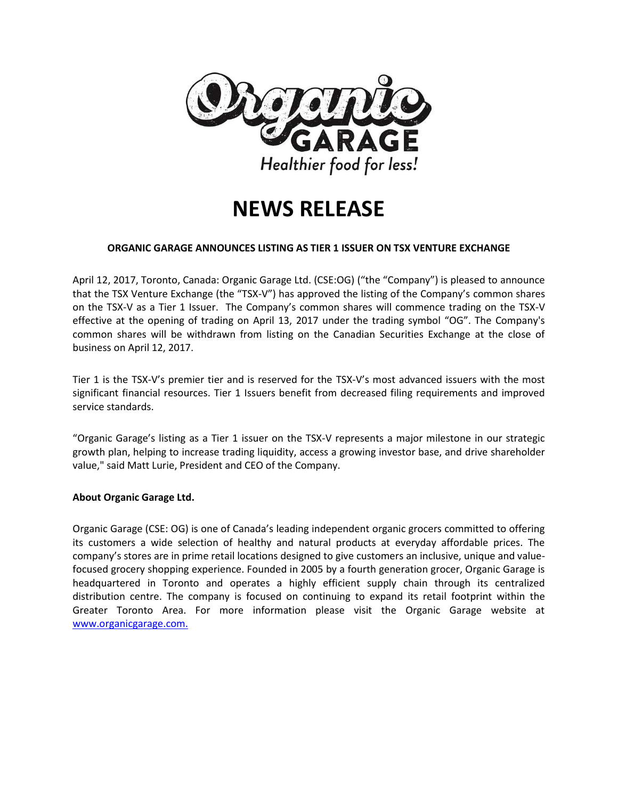

# **NEWS RELEASE**

## **ORGANIC GARAGE ANNOUNCES LISTING AS TIER 1 ISSUER ON TSX VENTURE EXCHANGE**

April 12, 2017, Toronto, Canada: Organic Garage Ltd. (CSE:OG) ("the "Company") is pleased to announce that the TSX Venture Exchange (the "TSX-V") has approved the listing of the Company's common shares on the TSX-V as a Tier 1 Issuer. The Company's common shares will commence trading on the TSX-V effective at the opening of trading on April 13, 2017 under the trading symbol "OG". The Company's common shares will be withdrawn from listing on the Canadian Securities Exchange at the close of business on April 12, 2017.

Tier 1 is the TSX-V's premier tier and is reserved for the TSX-V's most advanced issuers with the most significant financial resources. Tier 1 Issuers benefit from decreased filing requirements and improved service standards.

"Organic Garage's listing as a Tier 1 issuer on the TSX-V represents a major milestone in our strategic growth plan, helping to increase trading liquidity, access a growing investor base, and drive shareholder value," said Matt Lurie, President and CEO of the Company.

## **About Organic Garage Ltd.**

Organic Garage (CSE: OG) is one of Canada's leading independent organic grocers committed to offering its customers a wide selection of healthy and natural products at everyday affordable prices. The company's stores are in prime retail locations designed to give customers an inclusive, unique and valuefocused grocery shopping experience. Founded in 2005 by a fourth generation grocer, Organic Garage is headquartered in Toronto and operates a highly efficient supply chain through its centralized distribution centre. The company is focused on continuing to expand its retail footprint within the Greater Toronto Area. For more information please visit the Organic Garage website at [www.organicgarage.com.](http://www.organicgarage.com/)